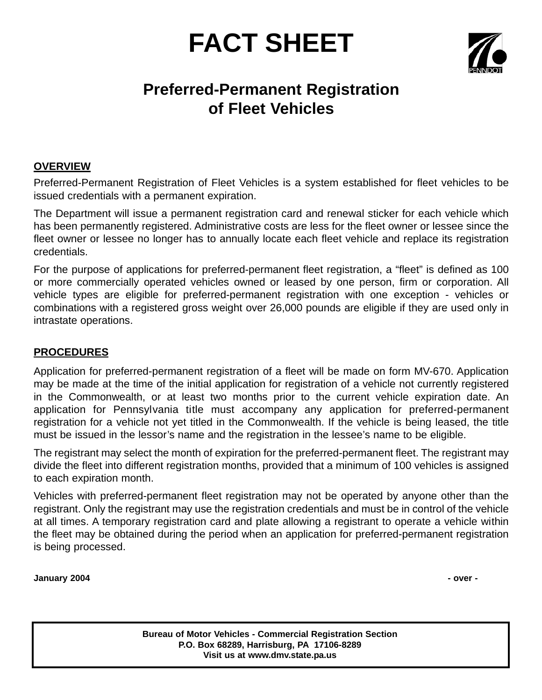# **FACT SHEET**



# **Preferred-Permanent Registration of Fleet Vehicles**

# **OVERVIEW**

Preferred-Permanent Registration of Fleet Vehicles is a system established for fleet vehicles to be issued credentials with a permanent expiration.

The Department will issue a permanent registration card and renewal sticker for each vehicle which has been permanently registered. Administrative costs are less for the fleet owner or lessee since the fleet owner or lessee no longer has to annually locate each fleet vehicle and replace its registration credentials.

For the purpose of applications for preferred-permanent fleet registration, a "fleet" is defined as 100 or more commercially operated vehicles owned or leased by one person, firm or corporation. All vehicle types are eligible for preferred-permanent registration with one exception - vehicles or combinations with a registered gross weight over 26,000 pounds are eligible if they are used only in intrastate operations.

#### **PROCEDURES**

Application for preferred-permanent registration of a fleet will be made on form MV-670. Application may be made at the time of the initial application for registration of a vehicle not currently registered in the Commonwealth, or at least two months prior to the current vehicle expiration date. An application for Pennsylvania title must accompany any application for preferred-permanent registration for a vehicle not yet titled in the Commonwealth. If the vehicle is being leased, the title must be issued in the lessor's name and the registration in the lessee's name to be eligible.

The registrant may select the month of expiration for the preferred-permanent fleet. The registrant may divide the fleet into different registration months, provided that a minimum of 100 vehicles is assigned to each expiration month.

Vehicles with preferred-permanent fleet registration may not be operated by anyone other than the registrant. Only the registrant may use the registration credentials and must be in control of the vehicle at all times. A temporary registration card and plate allowing a registrant to operate a vehicle within the fleet may be obtained during the period when an application for preferred-permanent registration is being processed.

**January 2004 - over -**

**Bureau of Motor Vehicles - Commercial Registration Section P.O. Box 68289, Harrisburg, PA 17106-8289 Visit us at www.dmv.state.pa.us**